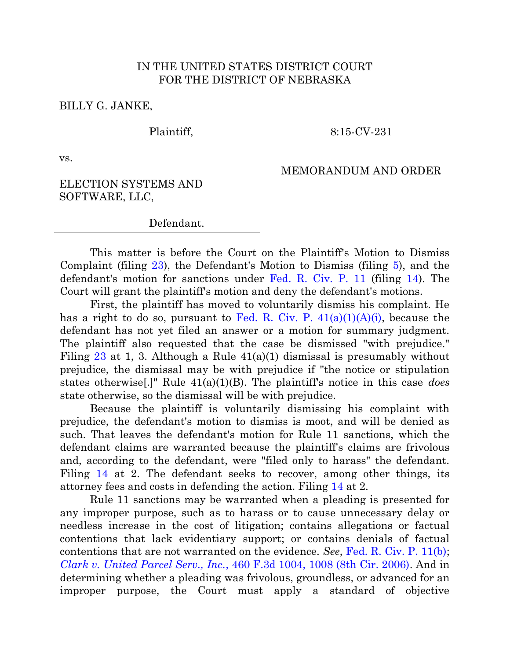## IN THE UNITED STATES DISTRICT COURT FOR THE DISTRICT OF NEBRASKA

BILLY G. JANKE,

Plaintiff,

8:15-CV-231

vs.

## MEMORANDUM AND ORDER

## ELECTION SYSTEMS AND SOFTWARE, LLC,

Defendant.

This matter is before the Court on the Plaintiff's Motion to Dismiss Complaint (filing [23\)](https://ecf.ned.uscourts.gov/doc1/11313356494), the Defendant's Motion to Dismiss (filing [5\)](https://ecf.ned.uscourts.gov/doc1/11313319317), and the defendant's motion for sanctions under [Fed. R. Civ. P. 11](http://www.westlaw.com/find/default.wl?ft=L&docname=USFRCPR11&rs=ap2.0&rp=%2ffind%2fdefault.wl&fn=_top&findtype=L&vr=2.0&db=1000600&ClientID=NOCLIENTID&wbtoolsId=USFRCPR11&HistoryType=F) (filing [14\)](https://ecf.ned.uscourts.gov/doc1/11313337463). The Court will grant the plaintiff's motion and deny the defendant's motions.

First, the plaintiff has moved to voluntarily dismiss his complaint. He has a right to do so, pursuant to Fed. R. Civ. P.  $41(a)(1)(A)(i)$ , because the defendant has not yet filed an answer or a motion for summary judgment. The plaintiff also requested that the case be dismissed "with prejudice." Filing [23](https://ecf.ned.uscourts.gov/doc1/11313356494) at 1, 3. Although a Rule  $41(a)(1)$  dismissal is presumably without prejudice, the dismissal may be with prejudice if "the notice or stipulation states otherwise[.]" Rule 41(a)(1)(B). The plaintiff's notice in this case *does* state otherwise, so the dismissal will be with prejudice.

Because the plaintiff is voluntarily dismissing his complaint with prejudice, the defendant's motion to dismiss is moot, and will be denied as such. That leaves the defendant's motion for Rule 11 sanctions, which the defendant claims are warranted because the plaintiff's claims are frivolous and, according to the defendant, were "filed only to harass" the defendant. Filing [14](https://ecf.ned.uscourts.gov/doc1/11313337463) at 2. The defendant seeks to recover, among other things, its attorney fees and costs in defending the action. Filing [14](https://ecf.ned.uscourts.gov/doc1/11313337463) at 2.

Rule 11 sanctions may be warranted when a pleading is presented for any improper purpose, such as to harass or to cause unnecessary delay or needless increase in the cost of litigation; contains allegations or factual contentions that lack evidentiary support; or contains denials of factual contentions that are not warranted on the evidence. *See*, [Fed. R. Civ. P. 11\(b\);](http://www.westlaw.com/find/default.wl?ft=L&docname=USFRCPR11&rs=ap2.0&rp=%2ffind%2fdefault.wl&fn=_top&findtype=L&vr=2.0&db=1000600&ClientID=NOCLIENTID&wbtoolsId=USFRCPR11&HistoryType=F) *Clark v. United Parcel Serv., Inc.*[, 460 F.3d 1004, 1008 \(8th Cir. 2006\).](http://www.westlaw.com/find/default.wl?ft=Y&referencepositiontype=S&rs=ap2.0&rp=%2ffind%2fdefault.wl&serialnum=2009766749&fn=_top&referenceposition=1008&findtype=Y&vr=2.0&db=0000506&ClientID=NOCLIENTID&wbtoolsId=2009766749&HistoryType=F) And in determining whether a pleading was frivolous, groundless, or advanced for an improper purpose, the Court must apply a standard of objective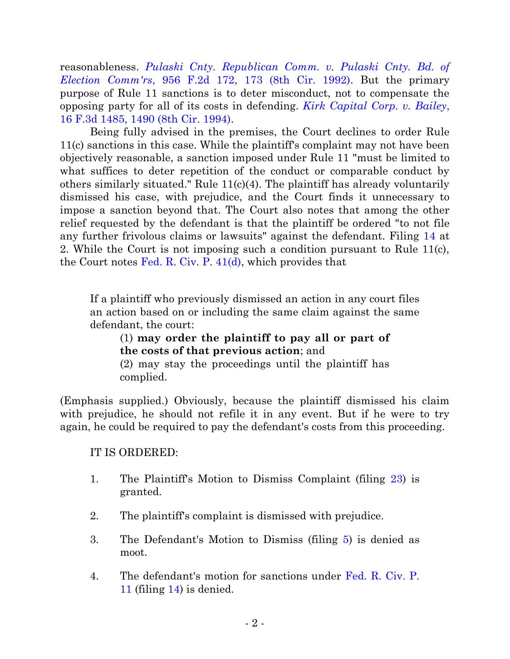reasonableness. *[Pulaski Cnty. Republican Comm. v. Pulaski Cnty. Bd. of](http://www.westlaw.com/find/default.wl?ft=Y&referencepositiontype=S&rs=ap2.0&rp=%2ffind%2fdefault.wl&serialnum=1992034925&fn=_top&referenceposition=173&findtype=Y&vr=2.0&db=0000350&ClientID=NOCLIENTID&wbtoolsId=1992034925&HistoryType=F)  Election Comm'rs*[, 956 F.2d 172, 173 \(8th Cir. 1992\).](http://www.westlaw.com/find/default.wl?ft=Y&referencepositiontype=S&rs=ap2.0&rp=%2ffind%2fdefault.wl&serialnum=1992034925&fn=_top&referenceposition=173&findtype=Y&vr=2.0&db=0000350&ClientID=NOCLIENTID&wbtoolsId=1992034925&HistoryType=F) But the primary purpose of Rule 11 sanctions is to deter misconduct, not to compensate the opposing party for all of its costs in defending. *[Kirk Capital Corp. v. Bailey](http://www.westlaw.com/find/default.wl?ft=Y&referencepositiontype=S&rs=ap2.0&rp=%2ffind%2fdefault.wl&serialnum=1994051142&fn=_top&referenceposition=1490&findtype=Y&vr=2.0&db=0000506&ClientID=NOCLIENTID&wbtoolsId=1994051142&HistoryType=F)*, [16 F.3d 1485, 1490 \(8th Cir. 1994\).](http://www.westlaw.com/find/default.wl?ft=Y&referencepositiontype=S&rs=ap2.0&rp=%2ffind%2fdefault.wl&serialnum=1994051142&fn=_top&referenceposition=1490&findtype=Y&vr=2.0&db=0000506&ClientID=NOCLIENTID&wbtoolsId=1994051142&HistoryType=F)

Being fully advised in the premises, the Court declines to order Rule 11(c) sanctions in this case. While the plaintiff's complaint may not have been objectively reasonable, a sanction imposed under Rule 11 "must be limited to what suffices to deter repetition of the conduct or comparable conduct by others similarly situated." Rule 11(c)(4). The plaintiff has already voluntarily dismissed his case, with prejudice, and the Court finds it unnecessary to impose a sanction beyond that. The Court also notes that among the other relief requested by the defendant is that the plaintiff be ordered "to not file any further frivolous claims or lawsuits" against the defendant. Filing [14](https://ecf.ned.uscourts.gov/doc1/11313337463) at 2. While the Court is not imposing such a condition pursuant to Rule 11(c), the Court notes [Fed. R. Civ. P. 41\(d\),](http://www.westlaw.com/find/default.wl?ft=L&docname=USFRCPR41&rs=ap2.0&rp=%2ffind%2fdefault.wl&fn=_top&findtype=L&vr=2.0&db=1000600&ClientID=NOCLIENTID&wbtoolsId=USFRCPR41&HistoryType=F) which provides that

If a plaintiff who previously dismissed an action in any court files an action based on or including the same claim against the same defendant, the court:

(1) **may order the plaintiff to pay all or part of the costs of that previous action**; and (2) may stay the proceedings until the plaintiff has

complied.

(Emphasis supplied.) Obviously, because the plaintiff dismissed his claim with prejudice, he should not refile it in any event. But if he were to try again, he could be required to pay the defendant's costs from this proceeding.

IT IS ORDERED:

- 1. The Plaintiff's Motion to Dismiss Complaint (filing [23\)](https://ecf.ned.uscourts.gov/doc1/11313356494) is granted.
- 2. The plaintiff's complaint is dismissed with prejudice.
- 3. The Defendant's Motion to Dismiss (filing [5\)](https://ecf.ned.uscourts.gov/doc1/11313319317) is denied as moot.
- 4. The defendant's motion for sanctions under [Fed. R. Civ. P.](http://www.westlaw.com/find/default.wl?ft=L&docname=USFRCPR11&rs=ap2.0&rp=%2ffind%2fdefault.wl&fn=_top&findtype=L&vr=2.0&db=1000600&ClientID=NOCLIENTID&wbtoolsId=USFRCPR11&HistoryType=F)  [11](http://www.westlaw.com/find/default.wl?ft=L&docname=USFRCPR11&rs=ap2.0&rp=%2ffind%2fdefault.wl&fn=_top&findtype=L&vr=2.0&db=1000600&ClientID=NOCLIENTID&wbtoolsId=USFRCPR11&HistoryType=F) (filing [14\)](https://ecf.ned.uscourts.gov/doc1/11313337463) is denied.